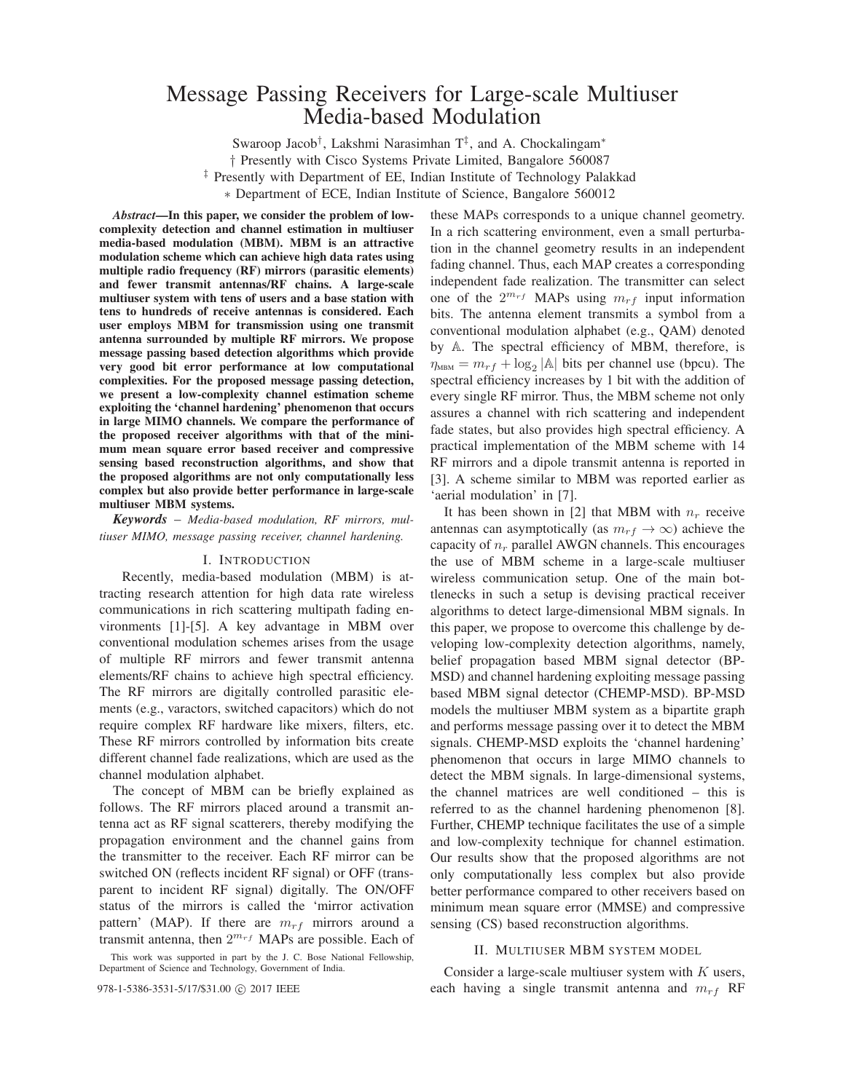# Message Passing Receivers for Large-scale Multiuser Media-based Modulation

Swaroop Jacob<sup>†</sup>, Lakshmi Narasimhan T<sup>‡</sup>, and A. Chockalingam<sup>∗</sup>

† Presently with Cisco Systems Private Limited, Bangalore 560087

‡ Presently with Department of EE, Indian Institute of Technology Palakkad

∗ Department of ECE, Indian Institute of Science, Bangalore 560012

*Abstract***—In this paper, we consider the problem of lowcomplexity detection and channel estimation in multiuser media-based modulation (MBM). MBM is an attractive modulation scheme which can achieve high data rates using multiple radio frequency (RF) mirrors (parasitic elements) and fewer transmit antennas/RF chains. A large-scale multiuser system with tens of users and a base station with tens to hundreds of receive antennas is considered. Each user employs MBM for transmission using one transmit antenna surrounded by multiple RF mirrors. We propose message passing based detection algorithms which provide very good bit error performance at low computational complexities. For the proposed message passing detection, we present a low-complexity channel estimation scheme exploiting the 'channel hardening' phenomenon that occurs in large MIMO channels. We compare the performance of the proposed receiver algorithms with that of the minimum mean square error based receiver and compressive sensing based reconstruction algorithms, and show that the proposed algorithms are not only computationally less complex but also provide better performance in large-scale multiuser MBM systems.**

*Keywords* – *Media-based modulation, RF mirrors, multiuser MIMO, message passing receiver, channel hardening.*

# I. INTRODUCTION

Recently, media-based modulation (MBM) is attracting research attention for high data rate wireless communications in rich scattering multipath fading environments [1]-[5]. A key advantage in MBM over conventional modulation schemes arises from the usage of multiple RF mirrors and fewer transmit antenna elements/RF chains to achieve high spectral efficiency. The RF mirrors are digitally controlled parasitic elements (e.g., varactors, switched capacitors) which do not require complex RF hardware like mixers, filters, etc. These RF mirrors controlled by information bits create different channel fade realizations, which are used as the channel modulation alphabet.

The concept of MBM can be briefly explained as follows. The RF mirrors placed around a transmit antenna act as RF signal scatterers, thereby modifying the propagation environment and the channel gains from the transmitter to the receiver. Each RF mirror can be switched ON (reflects incident RF signal) or OFF (transparent to incident RF signal) digitally. The ON/OFF status of the mirrors is called the 'mirror activation pattern' (MAP). If there are  $m_{rf}$  mirrors around a transmit antenna, then  $2^{m_{rf}}$  MAPs are possible. Each of

these MAPs corresponds to a unique channel geometry. In a rich scattering environment, even a small perturbation in the channel geometry results in an independent fading channel. Thus, each MAP creates a corresponding independent fade realization. The transmitter can select one of the  $2^{m_{rf}}$  MAPs using  $m_{rf}$  input information bits. The antenna element transmits a symbol from a conventional modulation alphabet (e.g., QAM) denoted by A. The spectral efficiency of MBM, therefore, is  $\eta_{\text{MBM}} = m_{rf} + \log_2 |\mathbb{A}|$  bits per channel use (bpcu). The spectral efficiency increases by 1 bit with the addition of every single RF mirror. Thus, the MBM scheme not only assures a channel with rich scattering and independent fade states, but also provides high spectral efficiency. A practical implementation of the MBM scheme with 14 RF mirrors and a dipole transmit antenna is reported in [3]. A scheme similar to MBM was reported earlier as 'aerial modulation' in [7].

It has been shown in [2] that MBM with  $n_r$  receive antennas can asymptotically (as  $m_{rf} \rightarrow \infty$ ) achieve the capacity of  $n_r$  parallel AWGN channels. This encourages the use of MBM scheme in a large-scale multiuser wireless communication setup. One of the main bottlenecks in such a setup is devising practical receiver algorithms to detect large-dimensional MBM signals. In this paper, we propose to overcome this challenge by developing low-complexity detection algorithms, namely, belief propagation based MBM signal detector (BP-MSD) and channel hardening exploiting message passing based MBM signal detector (CHEMP-MSD). BP-MSD models the multiuser MBM system as a bipartite graph and performs message passing over it to detect the MBM signals. CHEMP-MSD exploits the 'channel hardening' phenomenon that occurs in large MIMO channels to detect the MBM signals. In large-dimensional systems, the channel matrices are well conditioned – this is referred to as the channel hardening phenomenon [8]. Further, CHEMP technique facilitates the use of a simple and low-complexity technique for channel estimation. Our results show that the proposed algorithms are not only computationally less complex but also provide better performance compared to other receivers based on minimum mean square error (MMSE) and compressive sensing (CS) based reconstruction algorithms.

## II. MULTIUSER MBM SYSTEM MODEL

Consider a large-scale multiuser system with  $K$  users, 978-1-5386-3531-5/17/\$31.00  $\odot$  2017 IEEE each having a single transmit antenna and  $m_{rf}$  RF

This work was supported in part by the J. C. Bose National Fellowship, Department of Science and Technology, Government of India.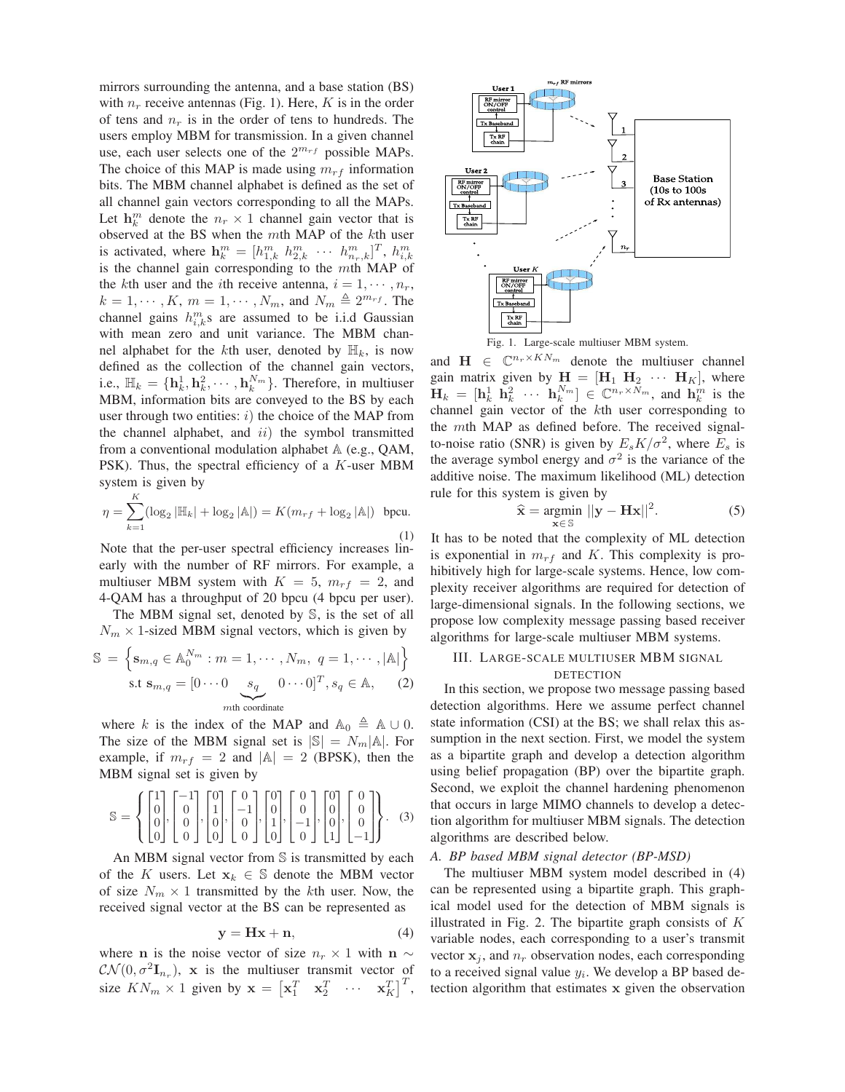mirrors surrounding the antenna, and a base station (BS) with  $n_r$  receive antennas (Fig. 1). Here, K is in the order of tens and  $n_r$  is in the order of tens to hundreds. The users employ MBM for transmission. In a given channel use, each user selects one of the  $2^{m_{rf}}$  possible MAPs. The choice of this MAP is made using  $m_{rf}$  information bits. The MBM channel alphabet is defined as the set of all channel gain vectors corresponding to all the MAPs. Let  $\mathbf{h}_k^m$  denote the  $n_r \times 1$  channel gain vector that is observed at the BS when the  $m$ th MAP of the  $k$ th user is activated, where  $\mathbf{h}_{k}^{m} = [h_{1,k}^{m} \; h_{2,k}^{m} \; \cdots \; h_{n_r,k}^{m}]^{T}$ ,  $h_{i,k}^{m}$ is the channel gain corresponding to the  $m$ th MAP of the kth user and the *i*th receive antenna,  $i = 1, \dots, n_r$ ,  $k = 1, \dots, K, m = 1, \dots, N_m$ , and  $N_m \triangleq 2^{m_{rf}}$ . The channel gains  $h_{i,k}^m$ s are assumed to be i.i.d Gaussian with mean zero and unit variance. The MBM channel alphabet for the kth user, denoted by  $\mathbb{H}_k$ , is now defined as the collection of the channel gain vectors, i.e.,  $\mathbb{H}_k = {\mathbf{h}_k^1, \mathbf{h}_k^2, \cdots, \mathbf{h}_k^{N_m}}$ . Therefore, in multiuser MBM, information bits are conveyed to the BS by each user through two entities:  $i)$  the choice of the MAP from the channel alphabet, and  $ii$ ) the symbol transmitted from a conventional modulation alphabet  $A$  (e.g., QAM, PSK). Thus, the spectral efficiency of a  $K$ -user MBM system is given by

$$
\eta = \sum_{k=1}^{K} (\log_2 |\mathbb{H}_k| + \log_2 |\mathbb{A}|) = K(m_{rf} + \log_2 |\mathbb{A}|) \text{ bpcu.}
$$
\n(1)

Note that the per-user spectral efficiency increases linearly with the number of RF mirrors. For example, a multiuser MBM system with  $K = 5$ ,  $m_{rf} = 2$ , and 4-QAM has a throughput of 20 bpcu (4 bpcu per user).

The MBM signal set, denoted by  $\mathbb{S}$ , is the set of all  $N_m \times 1$ -sized MBM signal vectors, which is given by

$$
\mathbb{S} = \left\{ \mathbf{s}_{m,q} \in \mathbb{A}_{0}^{N_{m}} : m = 1, \cdots, N_{m}, q = 1, \cdots, |\mathbb{A}| \right\}
$$
  
s.t  $\mathbf{s}_{m,q} = \left[ 0 \cdots 0 \underbrace{s_{q}}_{m\text{th coordinate}} 0 \cdots 0 \right]^{T}, s_{q} \in \mathbb{A},$  (2)

where k is the index of the MAP and  $\mathbb{A}_0 \triangleq \mathbb{A} \cup 0$ . The size of the MBM signal set is  $|\mathbb{S}| = N_m |\mathbb{A}|$ . For example, if  $m_{rf} = 2$  and  $|\mathbb{A}| = 2$  (BPSK), then the MBM signal set is given by

$$
\mathbb{S} = \left\{ \begin{bmatrix} 1 \\ 0 \\ 0 \\ 0 \end{bmatrix}, \begin{bmatrix} -1 \\ 0 \\ 0 \\ 0 \end{bmatrix}, \begin{bmatrix} 0 \\ 1 \\ 0 \\ 0 \end{bmatrix}, \begin{bmatrix} 0 \\ -1 \\ 0 \\ 0 \end{bmatrix}, \begin{bmatrix} 0 \\ 0 \\ 1 \\ 0 \end{bmatrix}, \begin{bmatrix} 0 \\ 0 \\ -1 \\ 0 \end{bmatrix}, \begin{bmatrix} 0 \\ 0 \\ 0 \\ 1 \end{bmatrix}, \begin{bmatrix} 0 \\ 0 \\ 0 \\ -1 \end{bmatrix} \right\}.
$$
 (3)

An MBM signal vector from  $\mathbb S$  is transmitted by each of the K users. Let  $x_k \in \mathbb{S}$  denote the MBM vector of size  $N_m \times 1$  transmitted by the kth user. Now, the received signal vector at the BS can be represented as

$$
y = Hx + n,\t(4)
$$

where **n** is the noise vector of size  $n_r \times 1$  with **n** ∼  $\mathcal{CN}(0, \sigma^2 \mathbf{I}_{n_r}),$  x is the multiuser transmit vector of size  $KN_m \times 1$  given by  $\mathbf{x} = \begin{bmatrix} \mathbf{x}_1^T & \mathbf{x}_2^T & \cdots & \mathbf{x}_K^T \end{bmatrix}^T$ ,



Fig. 1. Large-scale multiuser MBM system.

and  $\mathbf{H} \in \mathbb{C}^{n_r \times KN_m}$  denote the multiuser channel gain matrix given by  $H = [H_1 \ H_2 \ \cdots \ H_K]$ , where  $\mathbf{H}_k = [\mathbf{h}_k^1 \ \mathbf{h}_k^2 \ \cdots \ \mathbf{h}_k^{N_m}] \in \mathbb{C}^{n_r \times N_m}$ , and  $\mathbf{h}_k^m$  is the channel gain vector of the kth user corresponding to the  $m$ th MAP as defined before. The received signalto-noise ratio (SNR) is given by  $E_s K/\sigma^2$ , where  $E_s$  is the average symbol energy and  $\sigma^2$  is the variance of the additive noise. The maximum likelihood (ML) detection rule for this system is given by

$$
\widehat{\mathbf{x}} = \underset{\mathbf{x} \in \mathbb{S}}{\operatorname{argmin}} \, ||\mathbf{y} - \mathbf{H}\mathbf{x}||^2. \tag{5}
$$

It has to be noted that the complexity of ML detection is exponential in  $m_{rf}$  and K. This complexity is prohibitively high for large-scale systems. Hence, low complexity receiver algorithms are required for detection of large-dimensional signals. In the following sections, we propose low complexity message passing based receiver algorithms for large-scale multiuser MBM systems.

# III. LARGE-SCALE MULTIUSER MBM SIGNAL **DETECTION**

In this section, we propose two message passing based detection algorithms. Here we assume perfect channel state information (CSI) at the BS; we shall relax this assumption in the next section. First, we model the system as a bipartite graph and develop a detection algorithm using belief propagation (BP) over the bipartite graph. Second, we exploit the channel hardening phenomenon that occurs in large MIMO channels to develop a detection algorithm for multiuser MBM signals. The detection algorithms are described below.

# *A. BP based MBM signal detector (BP-MSD)*

The multiuser MBM system model described in (4) can be represented using a bipartite graph. This graphical model used for the detection of MBM signals is illustrated in Fig. 2. The bipartite graph consists of  $K$ variable nodes, each corresponding to a user's transmit vector  $x_i$ , and  $n_r$  observation nodes, each corresponding to a received signal value  $y_i$ . We develop a BP based detection algorithm that estimates **x** given the observation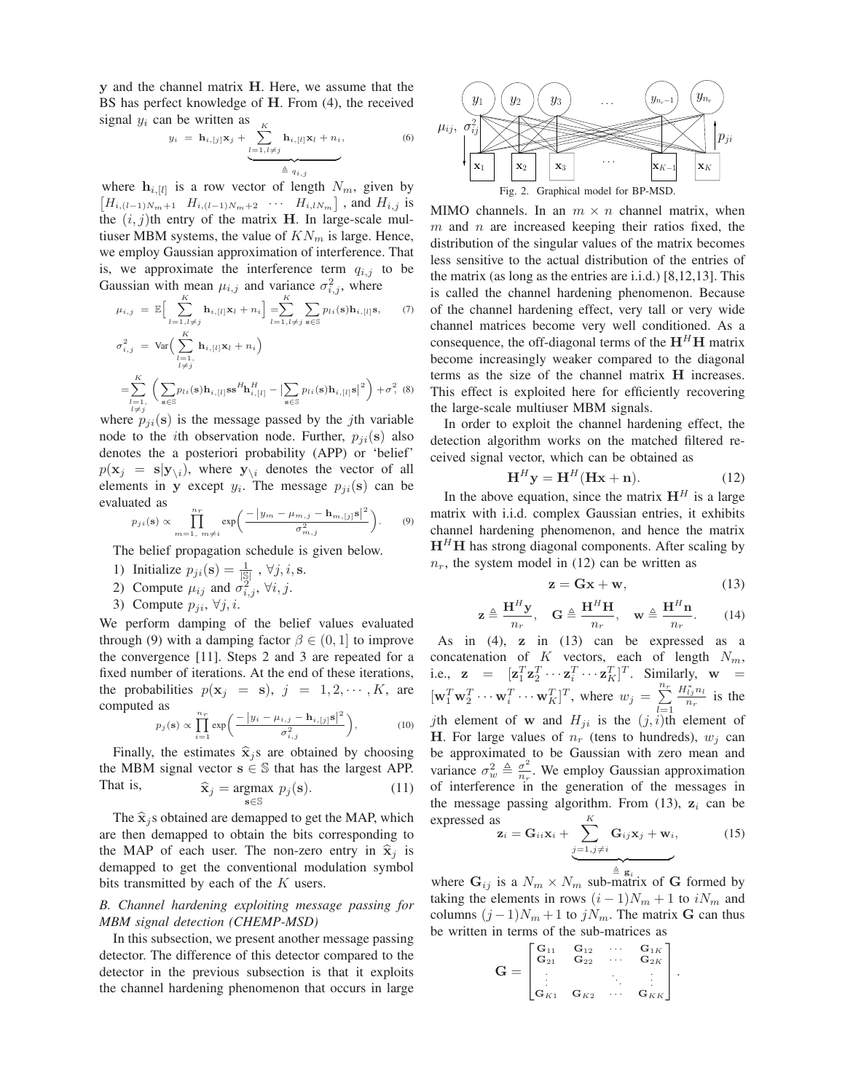**y** and the channel matrix **H**. Here, we assume that the BS has perfect knowledge of **H**. From (4), the received signal  $y_i$  can be written as  $y_i = \mathbf{h}_{i,[j]} \mathbf{x}_j + \sum_{i=1}^K y_i$ 

$$
y_i = \mathbf{h}_{i,[j]} \mathbf{x}_j + \underbrace{\sum_{l=1, l \neq j}^{K} \mathbf{h}_{i,[l]} \mathbf{x}_l + n_i}_{\triangleq q_{i,j}}, \tag{6}
$$

where  $\mathbf{h}_{i,[l]}$  is a row vector of length  $N_m$ , given by  $[H_{i,(l-1)N_m+1} \quad H_{i,(l-1)N_m+2} \quad \cdots \quad H_{i,lN_m}]$ , and  $H_{i,j}$  is the  $(i, j)$ th entry of the matrix **H**. In large-scale multiuser MBM systems, the value of  $KN_m$  is large. Hence, we employ Gaussian approximation of interference. That is, we approximate the interference term  $q_{i,j}$  to be Gaussian with mean  $\mu_{i,j}$  and variance  $\sigma_{i,j}^2$ , where

$$
\mu_{i,j} = \mathbb{E}\Big[\sum_{l=1, l \neq j}^{K} \mathbf{h}_{i,[l]} \mathbf{x}_{l} + n_{i}\Big] = \sum_{l=1, l \neq j}^{K} \sum_{\mathbf{s} \in \mathbb{S}} p_{li}(\mathbf{s}) \mathbf{h}_{i,[l]} \mathbf{s}, \qquad (7)
$$
  

$$
\sigma_{i,j}^{2} = \text{Var}\Big(\sum_{\substack{l=1, \\ l \neq j}}^{K} \mathbf{h}_{i,[l]} \mathbf{x}_{l} + n_{i}\Big)
$$

$$
= \sum_{\substack{l=1, \\ l \neq j}}^{K} \Big(\sum_{\mathbf{s} \in \mathbb{S}} p_{li}(\mathbf{s}) \mathbf{h}_{i,[l]} \mathbf{s} \mathbf{s}^{H} \mathbf{h}_{i,[l]}^{H} - \Big|\sum_{\mathbf{s} \in \mathbb{S}} p_{li}(\mathbf{s}) \mathbf{h}_{i,[l]} \mathbf{s}\Big|^{2}\Big) + \sigma_{\gamma}^{2} \quad (8)
$$

where  $p_{ji}(s)$  is the message passed by the *j*th variable node to the *i*th observation node. Further,  $p_{ii}(\mathbf{s})$  also denotes the a posteriori probability (APP) or 'belief'  $p(\mathbf{x}_j = \mathbf{s}|\mathbf{y}_{\setminus i})$ , where  $\mathbf{y}_{\setminus i}$  denotes the vector of all elements in **y** except  $y_i$ . The message  $p_{ii}(\mathbf{s})$  can be evaluated as

$$
p_{ji}(\mathbf{s}) \propto \prod_{m=1, m \neq i}^{n_r} \exp\left(\frac{-|y_m - \mu_{m,j} - \mathbf{h}_{m,[j]}\mathbf{s}|^2}{\sigma_{m,j}^2}\right). \tag{9}
$$

The belief propagation schedule is given below.

- 1) Initialize  $p_{ji}(\mathbf{s}) = \frac{1}{|\mathbb{S}|}, \forall j, i, \mathbf{s}.$
- 2) Compute  $\mu_{ij}$  and  $\sigma_{i,j}^2$ ,  $\forall i, j$ .
- 3) Compute  $p_{ji}$ ,  $\forall j, i$ .

We perform damping of the belief values evaluated through (9) with a damping factor  $\beta \in (0, 1]$  to improve the convergence [11]. Steps 2 and 3 are repeated for a fixed number of iterations. At the end of these iterations, the probabilities  $p(\mathbf{x}_j = \mathbf{s}), j = 1, 2, \cdots, K$ , are computed as

$$
p_j(\mathbf{s}) \propto \prod_{i=1}^{n_r} \exp\bigg(\frac{-|y_i - \mu_{i,j} - \mathbf{h}_{i,[j]}\mathbf{s}|^2}{\sigma_{i,j}^2}\bigg),\tag{10}
$$

Finally, the estimates  $\hat{\mathbf{x}}_i$ s are obtained by choosing the MBM signal vector  $s \in \mathbb{S}$  that has the largest APP. That is,  $\hat{\mathbf{x}}_j = \underset{\mathbf{s} \in \mathbb{S}}{\operatorname{argmax}} p_j(\mathbf{s}).$  (11)

The  $\hat{\mathbf{x}}_i$ s obtained are demapped to get the MAP, which are then demapped to obtain the bits corresponding to the MAP of each user. The non-zero entry in  $\hat{\mathbf{x}}_i$  is demapped to get the conventional modulation symbol bits transmitted by each of the  $K$  users.

*B. Channel hardening exploiting message passing for MBM signal detection (CHEMP-MSD)*

In this subsection, we present another message passing detector. The difference of this detector compared to the detector in the previous subsection is that it exploits the channel hardening phenomenon that occurs in large



MIMO channels. In an  $m \times n$  channel matrix, when  $m$  and  $n$  are increased keeping their ratios fixed, the distribution of the singular values of the matrix becomes less sensitive to the actual distribution of the entries of the matrix (as long as the entries are i.i.d.) [8,12,13]. This is called the channel hardening phenomenon. Because of the channel hardening effect, very tall or very wide channel matrices become very well conditioned. As a consequence, the off-diagonal terms of the  $H<sup>H</sup>H$  matrix become increasingly weaker compared to the diagonal terms as the size of the channel matrix **H** increases. This effect is exploited here for efficiently recovering the large-scale multiuser MBM signals.

In order to exploit the channel hardening effect, the detection algorithm works on the matched filtered received signal vector, which can be obtained as

$$
\mathbf{H}^{H}\mathbf{y} = \mathbf{H}^{H}(\mathbf{H}\mathbf{x} + \mathbf{n}).
$$
 (12)

In the above equation, since the matrix  $H<sup>H</sup>$  is a large matrix with i.i.d. complex Gaussian entries, it exhibits channel hardening phenomenon, and hence the matrix  $H<sup>H</sup>H$  has strong diagonal components. After scaling by  $n_r$ , the system model in (12) can be written as

$$
z = Gx + w,\t(13)
$$

$$
\mathbf{z} \triangleq \frac{\mathbf{H}^H \mathbf{y}}{n_r}, \quad \mathbf{G} \triangleq \frac{\mathbf{H}^H \mathbf{H}}{n_r}, \quad \mathbf{w} \triangleq \frac{\mathbf{H}^H \mathbf{n}}{n_r}.
$$
 (14)

As in (4), **z** in (13) can be expressed as a concatenation of  $K$  vectors, each of length  $N_m$ , i.e.,  $\mathbf{z} = [\mathbf{z}_1^T \mathbf{z}_2^T \cdots \mathbf{z}_i^T \cdots \mathbf{z}_K^T]^T$ . Similarly,  $\mathbf{w} =$  $[\mathbf{w}_1^T \mathbf{w}_2^T \cdots \mathbf{w}_i^T \cdots \mathbf{w}_K^T]^T$ , where  $w_j = \sum_{l=1}^{n_r}$  $rac{H_{lj}^{*}n_l}{n_r}$  is the *j*th element of **w** and  $H_{ji}$  is the  $(j, i)$ <sup>th</sup> element of **H**. For large values of  $n_r$  (tens to hundreds),  $w_i$  can be approximated to be Gaussian with zero mean and variance  $\sigma_w^2 \triangleq \frac{\sigma^2}{n_r}$ . We employ Gaussian approximation of interference in the generation of the messages in the message passing algorithm. From  $(13)$ ,  $z_i$  can be expressed as

\n
$$
\mathbf{z}_i = \mathbf{G}_{ii} \mathbf{x}_i + \sum_{j=1, j \neq i}^{K} \mathbf{G}_{ij} \mathbf{x}_j + \mathbf{w}_i,
$$
\n

\n\n (15)\n

where  $\mathbf{G}_{ij}$  is a  $N_m \times N_m$  sub-matrix of **G** formed by taking the elements in rows  $(i - 1)N_m + 1$  to  $iN_m$  and columns  $(j-1)N_m + 1$  to  $jN_m$ . The matrix **G** can thus be written in terms of the sub-matrices as

$$
\mathbf{G} = \begin{bmatrix} \mathbf{G}_{11} & \mathbf{G}_{12} & \cdots & \mathbf{G}_{1K} \\ \mathbf{G}_{21} & \mathbf{G}_{22} & \cdots & \mathbf{G}_{2K} \\ \vdots & & \ddots & \vdots \\ \mathbf{G}_{K1} & \mathbf{G}_{K2} & \cdots & \mathbf{G}_{KK} \end{bmatrix}.
$$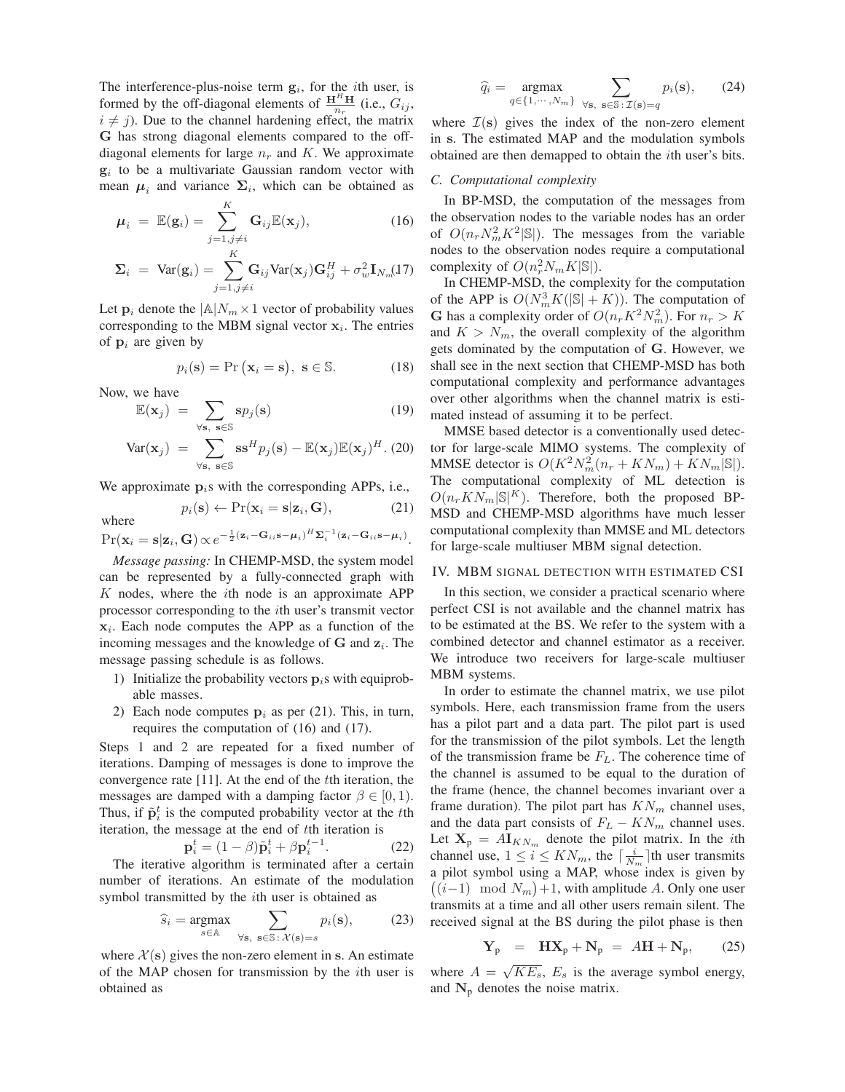The interference-plus-noise term  $g_i$ , for the *i*th user, is formed by the off-diagonal elements of  $\frac{H^H H}{n_r}$  (i.e.,  $G_{ij}$ ,  $i \neq j$ ). Due to the channel hardening effect, the matrix **G** has strong diagonal elements compared to the offdiagonal elements for large  $n_r$  and K. We approximate  $g_i$  to be a multivariate Gaussian random vector with mean  $\mu_i$  and variance  $\Sigma_i$ , which can be obtained as

$$
\mu_i = \mathbb{E}(\mathbf{g}_i) = \sum_{j=1, j \neq i}^{K} \mathbf{G}_{ij} \mathbb{E}(\mathbf{x}_j), \qquad (16)
$$

$$
\Sigma_i = \text{Var}(\mathbf{g}_i) = \sum_{j=1, j\neq i}^{K} \mathbf{G}_{ij} \text{Var}(\mathbf{x}_j) \mathbf{G}_{ij}^H + \sigma_w^2 \mathbf{I}_{N_m}(17)
$$

Let  $\mathbf{p}_i$  denote the  $|\mathbb{A}|N_m \times 1$  vector of probability values corresponding to the MBM signal vector  $x_i$ . The entries of  $\mathbf{p}_i$  are given by

$$
p_i(\mathbf{s}) = \Pr\left(\mathbf{x}_i = \mathbf{s}\right), \ \mathbf{s} \in \mathbb{S}.\tag{18}
$$

Now, we have

$$
\mathbb{E}(\mathbf{x}_j) = \sum_{\forall \mathbf{s}, \ \mathbf{s} \in \mathbb{S}} \mathbf{s} p_j(\mathbf{s}) \tag{19}
$$

$$
\text{Var}(\mathbf{x}_j) = \sum_{\forall \mathbf{s}, \ \mathbf{s} \in \mathbb{S}} \mathbf{s}^H p_j(\mathbf{s}) - \mathbb{E}(\mathbf{x}_j) \mathbb{E}(\mathbf{x}_j)^H. (20)
$$

We approximate  $p_i$ s with the corresponding APPs, i.e.,

$$
p_i(\mathbf{s}) \leftarrow \Pr(\mathbf{x}_i = \mathbf{s} | \mathbf{z}_i, \mathbf{G}), \tag{21}
$$

where  $\Pr(\mathbf{x}_i = \mathbf{s}|\mathbf{z}_i, \mathbf{G}) \propto e^{-\frac{1}{2}(\mathbf{z}_i - \mathbf{G}_{ii}\mathbf{s} - \boldsymbol{\mu}_i)^H \mathbf{\Sigma}_i^{-1}(\mathbf{z}_i - \mathbf{G}_{ii}\mathbf{s} - \boldsymbol{\mu}_i)}.$ 

*Message passing:* In CHEMP-MSD, the system model can be represented by a fully-connected graph with  $K$  nodes, where the *i*th node is an approximate APP processor corresponding to the *i*th user's transmit vector **x**. Each node computes the APP as a function of the incoming messages and the knowledge of  $G$  and  $z_i$ . The message passing schedule is as follows.

- 1) Initialize the probability vectors  $\mathbf{p}_i$  with equiprobable masses.
- 2) Each node computes  $p_i$  as per (21). This, in turn, requires the computation of (16) and (17).

Steps 1 and 2 are repeated for a fixed number of iterations. Damping of messages is done to improve the convergence rate [11]. At the end of the th iteration, the messages are damped with a damping factor  $\beta \in [0, 1)$ . Thus, if  $\tilde{\mathbf{p}}_i^t$  is the computed probability vector at the t<sup>th</sup> iteration, the message at the end of th iteration is

$$
\mathbf{p}_i^t = (1 - \beta)\tilde{\mathbf{p}}_i^t + \beta \mathbf{p}_i^{t-1}.
$$
 (22)

The iterative algorithm is terminated after a certain number of iterations. An estimate of the modulation symbol transmitted by the *i*th user is obtained as

$$
\widehat{s}_i = \underset{s \in \mathbb{A}}{\text{argmax}} \sum_{\forall \mathbf{s}, \ \mathbf{s} \in \mathbb{S} : \mathcal{X}(\mathbf{s}) = s} p_i(\mathbf{s}), \tag{23}
$$

where  $\mathcal{X}(s)$  gives the non-zero element in s. An estimate of the MAP chosen for transmission by the  $i$ th user is obtained as

$$
\widehat{q}_i = \underset{q \in \{1, \cdots, N_m\}}{\text{argmax}} \sum_{\forall \mathbf{s}, \ \mathbf{s} \in \mathbb{S} : \mathcal{I}(\mathbf{s}) = q} p_i(\mathbf{s}), \qquad (24)
$$

where  $\mathcal{I}(s)$  gives the index of the non-zero element in **s**. The estimated MAP and the modulation symbols obtained are then demapped to obtain the *i*th user's bits.

#### *C. Computational complexity*

In BP-MSD, the computation of the messages from the observation nodes to the variable nodes has an order of  $O(n_r N_m^2 K^2 |\mathbb{S}|)$ . The messages from the variable nodes to the observation nodes require a computational complexity of  $O(n_r^2 N_m K |S|)$ .

In CHEMP-MSD, the complexity for the computation of the APP is  $O(N_m^3 K(|\mathbb{S}| + K))$ . The computation of **G** has a complexity order of  $O(n_r K^2 N_m^2)$ . For  $n_r > K$ and  $K > N_m$ , the overall complexity of the algorithm gets dominated by the computation of **G**. However, we shall see in the next section that CHEMP-MSD has both computational complexity and performance advantages over other algorithms when the channel matrix is estimated instead of assuming it to be perfect.

MMSE based detector is a conventionally used detector for large-scale MIMO systems. The complexity of MMSE detector is  $O(K^2 N_m^2(n_r + KN_m) + KN_m|\mathbb{S}|).$ The computational complexity of ML detection is  $O(n_rKN_m|S|^K)$ . Therefore, both the proposed BP-MSD and CHEMP-MSD algorithms have much lesser computational complexity than MMSE and ML detectors for large-scale multiuser MBM signal detection.

# IV. MBM SIGNAL DETECTION WITH ESTIMATED CSI

In this section, we consider a practical scenario where perfect CSI is not available and the channel matrix has to be estimated at the BS. We refer to the system with a combined detector and channel estimator as a receiver. We introduce two receivers for large-scale multiuser MBM systems.

In order to estimate the channel matrix, we use pilot symbols. Here, each transmission frame from the users has a pilot part and a data part. The pilot part is used for the transmission of the pilot symbols. Let the length of the transmission frame be  $F_L$ . The coherence time of the channel is assumed to be equal to the duration of the frame (hence, the channel becomes invariant over a frame duration). The pilot part has  $KN_m$  channel uses, and the data part consists of  $F_L - KN_m$  channel uses. Let  $X_p = A I_{KN_m}$  denote the pilot matrix. In the *i*th channel use,  $1 \le i \le KN_m$ , the  $\lceil \frac{i}{N_m} \rceil$ th user transmits a pilot symbol using a MAP, whose index is given by  $((i-1) \mod N_m) + 1$ , with amplitude A. Only one user transmits at a time and all other users remain silent. The received signal at the BS during the pilot phase is then

$$
\mathbf{Y}_p = \mathbf{H}\mathbf{X}_p + \mathbf{N}_p = A\mathbf{H} + \mathbf{N}_p, \qquad (25)
$$

where  $A = \sqrt{KE_s}$ ,  $E_s$  is the average symbol energy, and  $N_p$  denotes the noise matrix.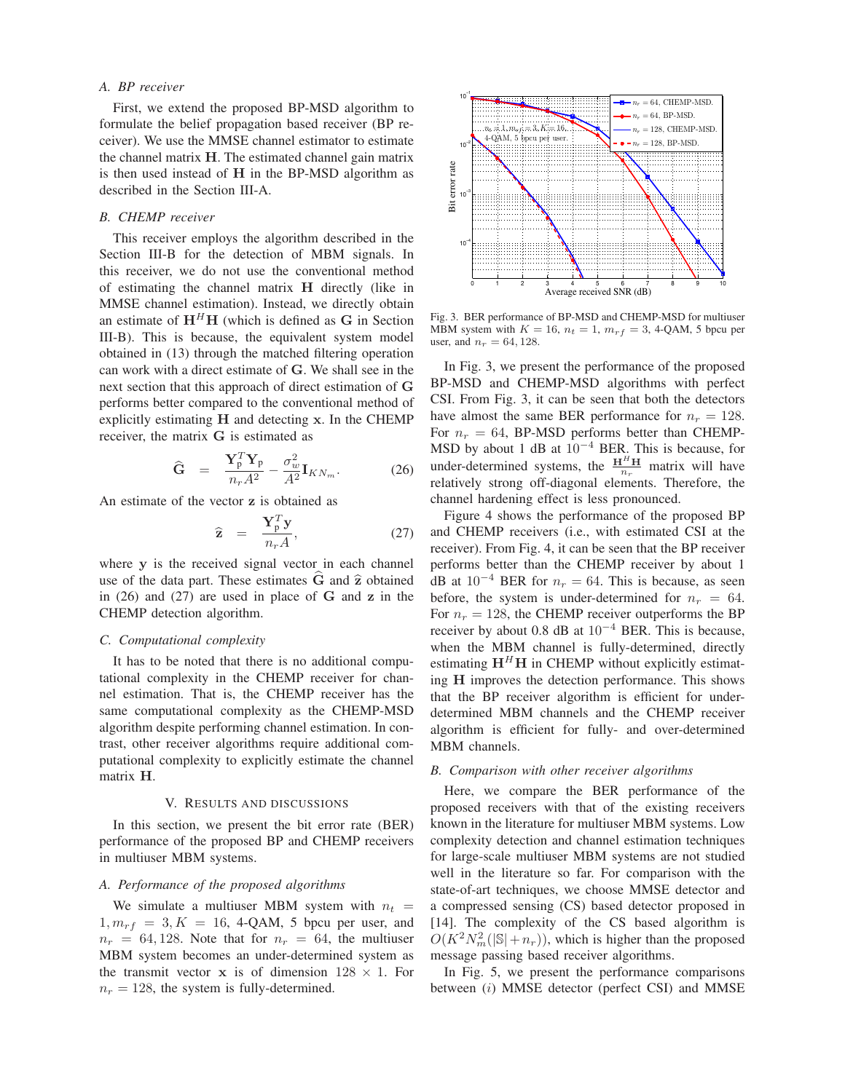# *A. BP receiver*

First, we extend the proposed BP-MSD algorithm to formulate the belief propagation based receiver (BP receiver). We use the MMSE channel estimator to estimate the channel matrix **H**. The estimated channel gain matrix is then used instead of **H** in the BP-MSD algorithm as described in the Section III-A.

# *B. CHEMP receiver*

This receiver employs the algorithm described in the Section III-B for the detection of MBM signals. In this receiver, we do not use the conventional method of estimating the channel matrix **H** directly (like in MMSE channel estimation). Instead, we directly obtain an estimate of  $H<sup>H</sup>H$  (which is defined as G in Section III-B). This is because, the equivalent system model obtained in (13) through the matched filtering operation can work with a direct estimate of **G**. We shall see in the next section that this approach of direct estimation of **G** performs better compared to the conventional method of explicitly estimating **H** and detecting **x**. In the CHEMP receiver, the matrix **G** is estimated as

$$
\widehat{\mathbf{G}} = \frac{\mathbf{Y}_p^T \mathbf{Y}_p}{n_r A^2} - \frac{\sigma_w^2}{A^2} \mathbf{I}_{KN_m}.
$$
 (26)

An estimate of the vector **z** is obtained as

$$
\widehat{\mathbf{z}} = \frac{\mathbf{Y}_p^T \mathbf{y}}{n_r A},\tag{27}
$$

where **y** is the received signal vector in each channel use of the data part. These estimates  $\vec{G}$  and  $\hat{z}$  obtained in (26) and (27) are used in place of **G** and **z** in the CHEMP detection algorithm.

#### *C. Computational complexity*

It has to be noted that there is no additional computational complexity in the CHEMP receiver for channel estimation. That is, the CHEMP receiver has the same computational complexity as the CHEMP-MSD algorithm despite performing channel estimation. In contrast, other receiver algorithms require additional computational complexity to explicitly estimate the channel matrix **H**.

#### V. RESULTS AND DISCUSSIONS

In this section, we present the bit error rate (BER) performance of the proposed BP and CHEMP receivers in multiuser MBM systems.

## *A. Performance of the proposed algorithms*

We simulate a multiuser MBM system with  $n_t =$  $1, m_{rf} = 3, K = 16, 4$ -QAM, 5 bpcu per user, and  $n_r = 64, 128$ . Note that for  $n_r = 64$ , the multiuser MBM system becomes an under-determined system as the transmit vector **x** is of dimension  $128 \times 1$ . For  $n_r = 128$ , the system is fully-determined.



Fig. 3. BER performance of BP-MSD and CHEMP-MSD for multiuser MBM system with  $K = 16$ ,  $n_t = 1$ ,  $m_{rf} = 3$ , 4-QAM, 5 bpcu per user, and  $n_r = 64, 128$ .

In Fig. 3, we present the performance of the proposed BP-MSD and CHEMP-MSD algorithms with perfect CSI. From Fig. 3, it can be seen that both the detectors have almost the same BER performance for  $n_r = 128$ . For  $n_r = 64$ , BP-MSD performs better than CHEMP-MSD by about 1 dB at  $10^{-4}$  BER. This is because, for under-determined systems, the  $\frac{H^H H}{n_r}$  matrix will have relatively strong off-diagonal elements. Therefore, the channel hardening effect is less pronounced.

Figure 4 shows the performance of the proposed BP and CHEMP receivers (i.e., with estimated CSI at the receiver). From Fig. 4, it can be seen that the BP receiver performs better than the CHEMP receiver by about 1 dB at  $10^{-4}$  BER for  $n_r = 64$ . This is because, as seen before, the system is under-determined for  $n_r = 64$ . For  $n_r = 128$ , the CHEMP receiver outperforms the BP receiver by about 0.8 dB at  $10^{-4}$  BER. This is because, when the MBM channel is fully-determined, directly estimating  $H<sup>H</sup>H$  in CHEMP without explicitly estimating **H** improves the detection performance. This shows that the BP receiver algorithm is efficient for underdetermined MBM channels and the CHEMP receiver algorithm is efficient for fully- and over-determined MBM channels.

#### *B. Comparison with other receiver algorithms*

Here, we compare the BER performance of the proposed receivers with that of the existing receivers known in the literature for multiuser MBM systems. Low complexity detection and channel estimation techniques for large-scale multiuser MBM systems are not studied well in the literature so far. For comparison with the state-of-art techniques, we choose MMSE detector and a compressed sensing (CS) based detector proposed in [14]. The complexity of the CS based algorithm is  $O(K^2 N_m^2(|\mathbb{S}| + n_r))$ , which is higher than the proposed message passing based receiver algorithms.

In Fig. 5, we present the performance comparisons between  $(i)$  MMSE detector (perfect CSI) and MMSE